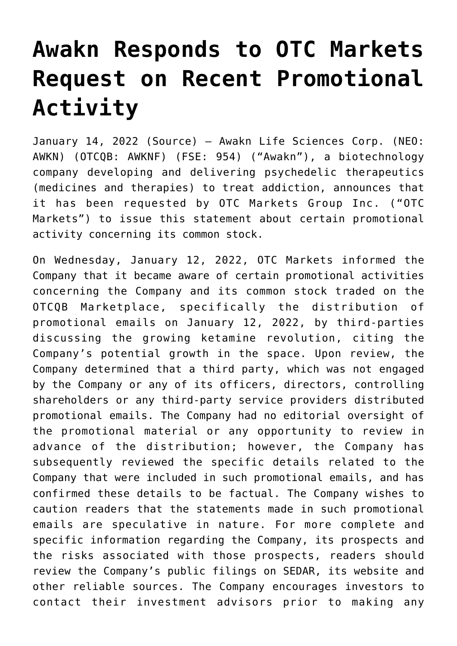## **[Awakn Responds to OTC Markets](https://investorintel.com/markets/biotech-healthcare/biotech-news/awakn-responds-to-otc-markets-request-on-recent-promotional-activity/) [Request on Recent Promotional](https://investorintel.com/markets/biotech-healthcare/biotech-news/awakn-responds-to-otc-markets-request-on-recent-promotional-activity/) [Activity](https://investorintel.com/markets/biotech-healthcare/biotech-news/awakn-responds-to-otc-markets-request-on-recent-promotional-activity/)**

January 14, 2022 ([Source\)](https://www.newsfilecorp.com/release/110270/Awakn-Responds-to-OTC-Markets-Request-on-Recent-Promotional-Activity) — Awakn Life Sciences Corp. (NEO: AWKN) (OTCQB: AWKNF) (FSE: 954) ("Awakn"), a biotechnology company developing and delivering psychedelic therapeutics (medicines and therapies) to treat addiction, announces that it has been requested by OTC Markets Group Inc. ("OTC Markets") to issue this statement about certain promotional activity concerning its common stock.

On Wednesday, January 12, 2022, OTC Markets informed the Company that it became aware of certain promotional activities concerning the Company and its common stock traded on the OTCQB Marketplace, specifically the distribution of promotional emails on January 12, 2022, by third-parties discussing the growing ketamine revolution, citing the Company's potential growth in the space. Upon review, the Company determined that a third party, which was not engaged by the Company or any of its officers, directors, controlling shareholders or any third-party service providers distributed promotional emails. The Company had no editorial oversight of the promotional material or any opportunity to review in advance of the distribution; however, the Company has subsequently reviewed the specific details related to the Company that were included in such promotional emails, and has confirmed these details to be factual. The Company wishes to caution readers that the statements made in such promotional emails are speculative in nature. For more complete and specific information regarding the Company, its prospects and the risks associated with those prospects, readers should review the Company's public filings on SEDAR, its website and other reliable sources. The Company encourages investors to contact their investment advisors prior to making any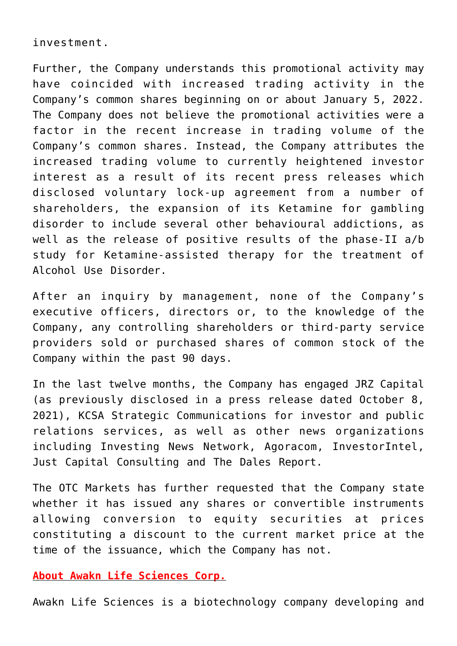investment.

Further, the Company understands this promotional activity may have coincided with increased trading activity in the Company's common shares beginning on or about January 5, 2022. The Company does not believe the promotional activities were a factor in the recent increase in trading volume of the Company's common shares. Instead, the Company attributes the increased trading volume to currently heightened investor interest as a result of its recent press releases which disclosed voluntary lock-up agreement from a number of shareholders, the expansion of its Ketamine for gambling disorder to include several other behavioural addictions, as well as the release of positive results of the phase-II a/b study for Ketamine-assisted therapy for the treatment of Alcohol Use Disorder.

After an inquiry by management, none of the Company's executive officers, directors or, to the knowledge of the Company, any controlling shareholders or third-party service providers sold or purchased shares of common stock of the Company within the past 90 days.

In the last twelve months, the Company has engaged JRZ Capital (as previously disclosed in a press release dated October 8, 2021), KCSA Strategic Communications for investor and public relations services, as well as other news organizations including Investing News Network, Agoracom, InvestorIntel, Just Capital Consulting and The Dales Report.

The OTC Markets has further requested that the Company state whether it has issued any shares or convertible instruments allowing conversion to equity securities at prices constituting a discount to the current market price at the time of the issuance, which the Company has not.

**About Awakn Life Sciences Corp.**

Awakn Life Sciences is a biotechnology company developing and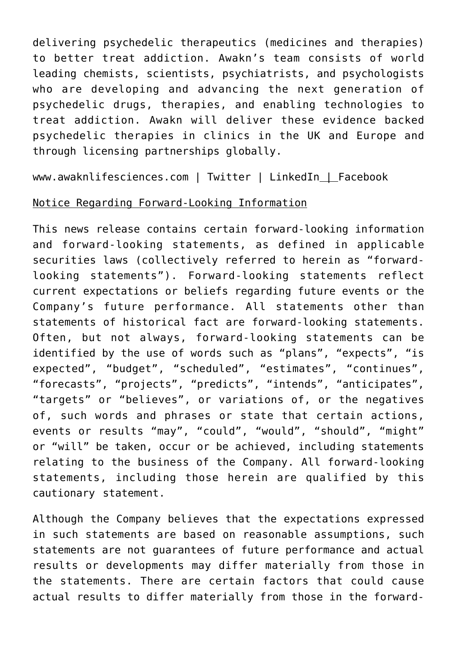delivering psychedelic therapeutics (medicines and therapies) to better treat addiction. Awakn's team consists of world leading chemists, scientists, psychiatrists, and psychologists who are developing and advancing the next generation of psychedelic drugs, therapies, and enabling technologies to treat addiction. Awakn will deliver these evidence backed psychedelic therapies in clinics in the UK and Europe and through licensing partnerships globally.

[www.awaknlifesciences.com](https://www.newsfilecorp.com/redirect/OLzBEumjM7) | [Twitter](https://www.newsfilecorp.com/redirect/PM45gUxYwQ) [| LinkedIn](https://www.newsfilecorp.com/redirect/w28mVUwWo0) | [Facebook](https://www.newsfilecorp.com/redirect/gxEZBSGozy)

## Notice Regarding Forward-Looking Information

This news release contains certain forward-looking information and forward-looking statements, as defined in applicable securities laws (collectively referred to herein as "forwardlooking statements"). Forward-looking statements reflect current expectations or beliefs regarding future events or the Company's future performance. All statements other than statements of historical fact are forward-looking statements. Often, but not always, forward-looking statements can be identified by the use of words such as "plans", "expects", "is expected", "budget", "scheduled", "estimates", "continues", "forecasts", "projects", "predicts", "intends", "anticipates", "targets" or "believes", or variations of, or the negatives of, such words and phrases or state that certain actions, events or results "may", "could", "would", "should", "might" or "will" be taken, occur or be achieved, including statements relating to the business of the Company. All forward-looking statements, including those herein are qualified by this cautionary statement.

Although the Company believes that the expectations expressed in such statements are based on reasonable assumptions, such statements are not guarantees of future performance and actual results or developments may differ materially from those in the statements. There are certain factors that could cause actual results to differ materially from those in the forward-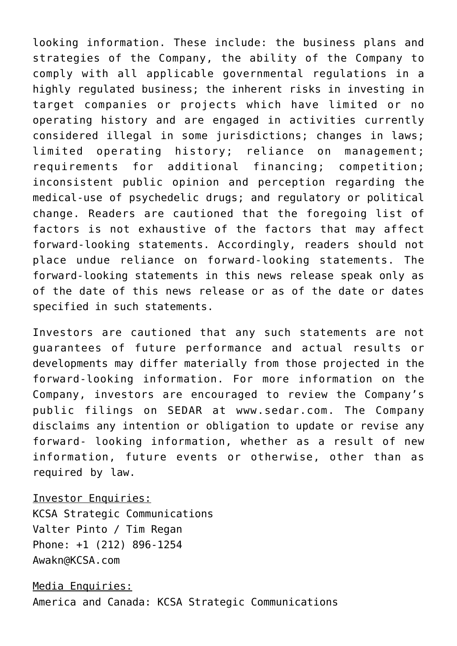looking information. These include: the business plans and strategies of the Company, the ability of the Company to comply with all applicable governmental regulations in a highly regulated business; the inherent risks in investing in target companies or projects which have limited or no operating history and are engaged in activities currently considered illegal in some jurisdictions; changes in laws; limited operating history; reliance on management; requirements for additional financing; competition; inconsistent public opinion and perception regarding the medical-use of psychedelic drugs; and regulatory or political change. Readers are cautioned that the foregoing list of factors is not exhaustive of the factors that may affect forward-looking statements. Accordingly, readers should not place undue reliance on forward-looking statements. The forward-looking statements in this news release speak only as of the date of this news release or as of the date or dates specified in such statements.

Investors are cautioned that any such statements are not guarantees of future performance and actual results or developments may differ materially from those projected in the forward-looking information. For more information on the Company, investors are encouraged to review the Company's public filings on SEDAR at [www.sedar.com](https://www.newsfilecorp.com/redirect/p47zOTAW45). The Company disclaims any intention or obligation to update or revise any forward- looking information, whether as a result of new information, future events or otherwise, other than as required by law.

## Investor Enquiries:

KCSA Strategic Communications Valter Pinto / Tim Regan Phone: +1 (212) 896-1254 [Awakn@KCSA.com](mailto:Awakn@KCSA.com)

Media Enquiries: America and Canada: KCSA Strategic Communications